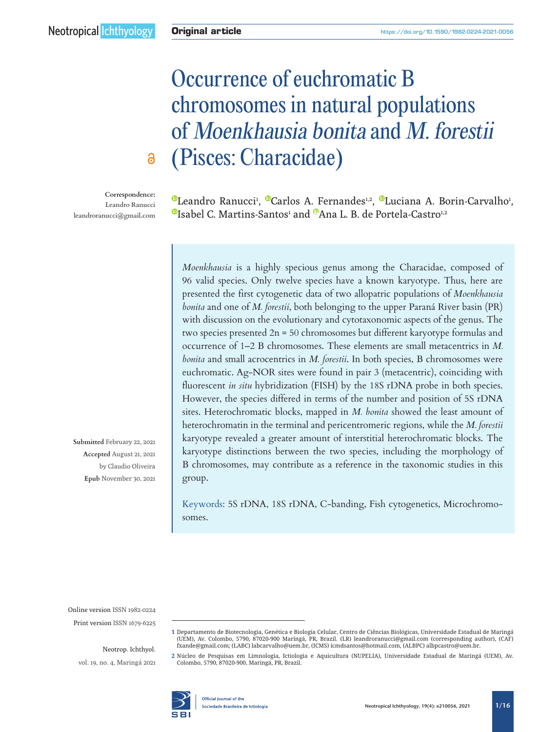# Occurrence of euchromatic B chromosomes in natural populations of Moenkhausia bonita and M. forestii (Pisces: Characidae)

**Correspondence: Leandro Ranucci [leandroranucci@gmail.com](mailto:leandroranucci%40gmail.com?subject=)**

 $\delta$ 

Leandro Ranucci<sup>i</sup>, <sup>®</sup>[C](https://orcid.org/0000-0002-9905-1507)arlos A. Fernandes<sup>1,2</sup>, ®[L](https://orcid.org/0000-0003-1990-4803)uciana A. Borin-Carvalho<sup>1</sup>, Isabel C. Martins-Santos<sup>1</sup> and <sup>@</sup>Ana L. B. de Portela-Castro<sup>1,2</sup>

*Moenkhausia* is a highly specious genus among the Characidae, composed of 96 valid species. Only twelve species have a known karyotype. Thus, here are presented the first cytogenetic data of two allopatric populations of *Moenkhausia bonita* and one of *M. forestii*, both belonging to the upper Paraná River basin (PR) with discussion on the evolutionary and cytotaxonomic aspects of the genus. The two species presented 2n = 50 chromosomes but different karyotype formulas and occurrence of 1–2 B chromosomes. These elements are small metacentrics in *M. bonita* and small acrocentrics in *M. forestii*. In both species, B chromosomes were euchromatic. Ag-NOR sites were found in pair 3 (metacentric), coinciding with fluorescent *in situ* hybridization (FISH) by the 18S rDNA probe in both species. However, the species differed in terms of the number and position of 5S rDNA sites. Heterochromatic blocks, mapped in *M. bonita* showed the least amount of heterochromatin in the terminal and pericentromeric regions, while the *M. forestii* karyotype revealed a greater amount of interstitial heterochromatic blocks. The karyotype distinctions between the two species, including the morphology of B chromosomes, may contribute as a reference in the taxonomic studies in this group.

Keywords: 5S rDNA, 18S rDNA, C-banding, Fish cytogenetics, Microchromosomes.

**Submitted** February 22, 2021 **Accepted** August 21, 2021 by Claudio Oliveira **Epub** November 30, 2021

Online version ISSN 1982-0224 Print version ISSN 1679-6225

Neotrop. Ichthyol.

vol. 19, no. 4, Maringá 2021

**<sup>2</sup>** Núcleo de Pesquisas em Limnologia, Ictiologia e Aquicultura (NUPELIA), Universidade Estadual de Maringá (UEM), Av. Colombo, 5790, 87020-900, Maringá, PR, Brazil.



**<sup>1</sup>** Departamento de Biotecnologia, Genética e Biologia Celular, Centro de Ciências Biológicas, Universidade Estadual de Maringá (UEM), Av. Colombo, 5790, 87020-900 Maringá, PR, Brazil. (LR) [leandroranucci@gmail.com](mailto:leandroranucci%40gmail.com?subject=) (corresponding author), (CAF) [fxande@gmail.com;](mailto:fxande%40gmail.com?subject=) (LABC) [labcarvalho@uem.br,](mailto:labcarvalho%40uem.br?subject=) (ICMS) [icmdsantos@hotmail.com](mailto:icmdsantos%40hotmail.com?subject=), (ALBPC) [albpcastro@uem.br.](mailto:albpcastro%40uem.br?subject=)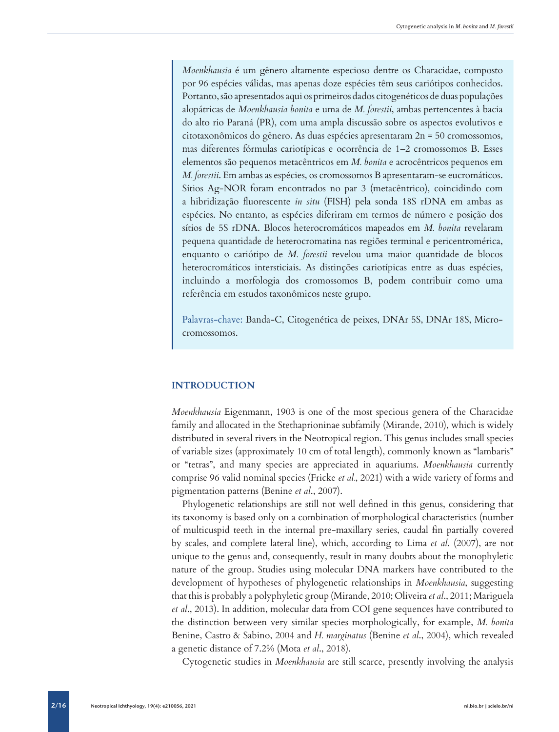*Moenkhausia* é um gênero altamente especioso dentre os Characidae, composto por 96 espécies válidas, mas apenas doze espécies têm seus cariótipos conhecidos. Portanto, são apresentados aqui os primeiros dados citogenéticos de duas populações alopátricas de *Moenkhausia bonita* e uma de *M. forestii*, ambas pertencentes à bacia do alto rio Paraná (PR), com uma ampla discussão sobre os aspectos evolutivos e citotaxonômicos do gênero. As duas espécies apresentaram 2n = 50 cromossomos, mas diferentes fórmulas cariotípicas e ocorrência de 1–2 cromossomos B. Esses elementos são pequenos metacêntricos em *M. bonita* e acrocêntricos pequenos em *M. forestii*. Em ambas as espécies, os cromossomos B apresentaram-se eucromáticos. Sítios Ag-NOR foram encontrados no par 3 (metacêntrico), coincidindo com a hibridização fluorescente *in situ* (FISH) pela sonda 18S rDNA em ambas as espécies. No entanto, as espécies diferiram em termos de número e posição dos sítios de 5S rDNA. Blocos heterocromáticos mapeados em *M. bonita* revelaram pequena quantidade de heterocromatina nas regiões terminal e pericentromérica, enquanto o cariótipo de *M. forestii* revelou uma maior quantidade de blocos heterocromáticos intersticiais. As distinções cariotípicas entre as duas espécies, incluindo a morfologia dos cromossomos B, podem contribuir como uma referência em estudos taxonômicos neste grupo.

Palavras-chave: Banda-C, Citogenética de peixes, DNAr 5S, DNAr 18S, Microcromossomos.

### **INTRODUCTION**

*Moenkhausia* Eigenmann, 1903 is one of the most specious genera of the Characidae family and allocated in the Stethaprioninae subfamily (Mirande, 2010), which is widely distributed in several rivers in the Neotropical region. This genus includes small species of variable sizes (approximately 10 cm of total length), commonly known as "lambaris" or "tetras", and many species are appreciated in aquariums. *Moenkhausia* currently comprise 96 valid nominal species (Fricke *et al.*, 2021) with a wide variety of forms and pigmentation patterns (Benine *et al*., 2007).

Phylogenetic relationships are still not well defined in this genus, considering that its taxonomy is based only on a combination of morphological characteristics (number of multicuspid teeth in the internal pre-maxillary series, caudal fin partially covered by scales, and complete lateral line), which, according to Lima *et al*. (2007), are not unique to the genus and, consequently, result in many doubts about the monophyletic nature of the group. Studies using molecular DNA markers have contributed to the development of hypotheses of phylogenetic relationships in *Moenkhausia*, suggesting that this is probably a polyphyletic group (Mirande, 2010; Oliveira *et al*., 2011; Mariguela *et al*., 2013). In addition, molecular data from COI gene sequences have contributed to the distinction between very similar species morphologically, for example, *M. bonita* Benine, Castro & Sabino, 2004 and *H. marginatus* (Benine *et al*., 2004), which revealed a genetic distance of 7.2% (Mota *et al*., 2018).

Cytogenetic studies in *Moenkhausia* are still scarce, presently involving the analysis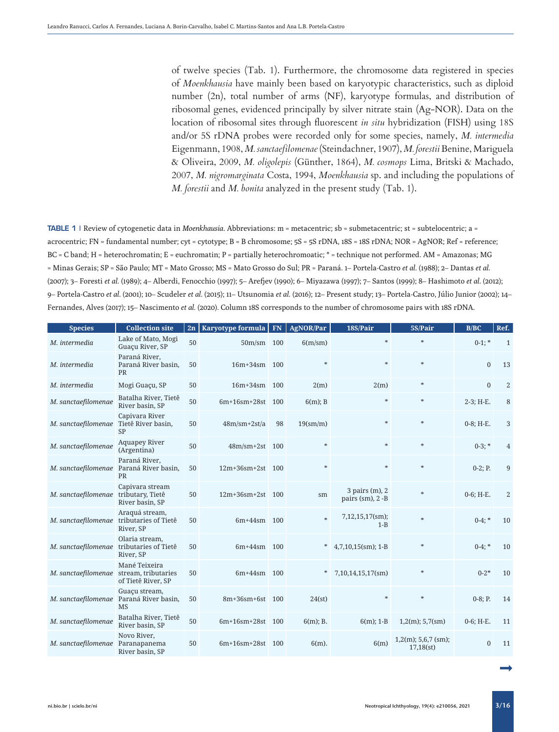of twelve species (Tab. 1). Furthermore, the chromosome data registered in species of *Moenkhausia* have mainly been based on karyotypic characteristics, such as diploid number (2n), total number of arms (NF), karyotype formulas, and distribution of ribosomal genes, evidenced principally by silver nitrate stain (Ag-NOR). Data on the location of ribosomal sites through fluorescent *in situ* hybridization (FISH) using 18S and/or 5S rDNA probes were recorded only for some species, namely, *M. intermedia*  Eigenmann, 1908, *M. sanctaefilomenae* (Steindachner, 1907), *M. forestii* Benine, Mariguela & Oliveira, 2009, *M. oligolepis* (Günther, 1864), *M. cosmops* Lima, Britski & Machado, 2007, *M. nigromarginata* Costa, 1994, *Moenkhausia* sp. and including the populations of *M. forestii* and *M. bonita* analyzed in the present study (Tab. 1).

TABLE 1 | Review of cytogenetic data in *Moenkhausia*. Abbreviations: m = metacentric; sb = submetacentric; st = subtelocentric; a = acrocentric; FN = fundamental number; cyt = cytotype; B = B chromosome; 5S = 5S rDNA, 18S = 18S rDNA; NOR = AgNOR; Ref = reference; BC = C band; H = heterochromatin; E = euchromatin; P = partially heterochromoatic; \* = technique not performed. AM = Amazonas; MG = Minas Gerais; SP = São Paulo; MT = Mato Grosso; MS = Mato Grosso do Sul; PR = Paraná. 1– Portela-Castro *et al*. (1988); 2– Dantas *et al*. (2007); 3– Foresti *et al*. (1989); 4– Alberdi, Fenocchio (1997); 5– Arefjev (1990); 6– Miyazawa (1997); 7– Santos (1999); 8– Hashimoto *et al*. (2012); 9– Portela-Castro *et al*. (2001); 10– Scudeler *et al*. (2015); 11– Utsunomia *et al*. (2016); 12– Present study; 13– Portela-Castro, Júlio Junior (2002); 14– Fernandes, Alves (2017); 15– Nascimento *et al*. (2020). Column 18S corresponds to the number of chromosome pairs with 18S rDNA.

| <b>Species</b>                           | <b>Collection site</b>                            | 2n | Karyotype formula   FN |    | <b>AgNOR/Par</b>   | 18S/Pair                                      | 5S/Pair                             | $\overline{B/BC}$ | Ref.           |
|------------------------------------------|---------------------------------------------------|----|------------------------|----|--------------------|-----------------------------------------------|-------------------------------------|-------------------|----------------|
| M. intermedia                            | Lake of Mato, Mogi<br>Guaçu River, SP             | 50 | 50m/sm 100             |    | 6(m/sm)            |                                               | $\ast$                              | $0-1$ ; *         | 1              |
| M. intermedia                            | Paraná River,<br>Paraná River basin,<br>PR        | 50 | 16m+34sm 100           |    | $\ast$             | $\ast$                                        | $\ast$                              | $\mathbf{0}$      | 13             |
| M. intermedia                            | Mogi Guaçu, SP                                    | 50 | 16m+34sm 100           |    | 2(m)               | 2(m)                                          | $\ast$                              | $\mathbf{0}$      | 2              |
| M. sanctaefilomenae                      | Batalha River, Tietê<br>River basin, SP           | 50 | 6m+16sm+28st 100       |    | $6(m)$ ; B         | $\ast$                                        | $\ast$                              | $2-3$ ; H-E.      | 8              |
| M. sanctaefilomenae                      | Capivara River<br>Tietê River basin,<br><b>SP</b> | 50 | $48m/sm+2st/a$         | 98 | $19 \text{(sm/m)}$ | $\ast$                                        | sk.                                 | $0-8$ ; H-E.      | 3              |
| M. sanctaefilomenae                      | <b>Aquapey River</b><br>(Argentina)               | 50 | 48m/sm+2st 100         |    | $\ast$             | $\ast$                                        | $\ast$                              | $0-3$ ; *         | $\overline{4}$ |
| M. sanctaefilomenae Paraná River basin,  | Paraná River.<br>PR                               | 50 | 12m+36sm+2st 100       |    |                    | $\ast$                                        | $\ast$                              | $0-2; P.$         | 9              |
| M. sanctaefilomenae tributary, Tietê     | Capivara stream<br>River basin, SP                | 50 | 12m+36sm+2st 100       |    | sm                 | $3$ pairs $(m)$ , $2$<br>pairs $(sm)$ , $2-B$ | $\ast$                              | $0-6$ : H-E.      | 2              |
| M. sanctaefilomenae tributaries of Tietê | Araquá stream,<br>River, SP                       | 50 | $6m + 44$ sm 100       |    | $\ast$             | $7,12,15,17$ (sm);<br>$1 - B$                 | sk.                                 | $0-4$ ; *         | 10             |
| M. sanctaefilomenae tributaries of Tietê | Olaria stream,<br>River, SP                       | 50 | $6m + 44$ sm 100       |    | ∗                  | $4,7,10,15$ (sm); 1-B                         |                                     | $0-4; *$          | 10             |
| M. sanctaefilomenae stream, tributaries  | Mané Teixeira<br>of Tietê River, SP               | 50 | $6m + 44$ sm 100       |    |                    | 7,10,14,15,17(sm)                             |                                     | $0 - 2*$          | 10             |
| M. sanctaefilomenae Paraná River basin,  | Guaçu stream,<br><b>MS</b>                        | 50 | 8m+36sm+6st 100        |    | 24(st)             | ×                                             |                                     | $0-8; P.$         | 14             |
| M. sanctaefilomenae                      | Batalha River, Tietê<br>River basin, SP           | 50 | 6m+16sm+28st 100       |    | $6(m)$ ; B.        | $6(m)$ ; 1-B                                  | $1,2(m)$ ; 5,7(sm)                  | $0-6$ ; H-E.      | 11             |
| M. sanctaefilomenae                      | Novo River.<br>Paranapanema<br>River basin, SP    | 50 | 6m+16sm+28st 100       |    | $6(m)$ .           | 6(m)                                          | $1,2(m)$ ; 5,6,7 (sm);<br>17,18(st) | $\Omega$          | 11             |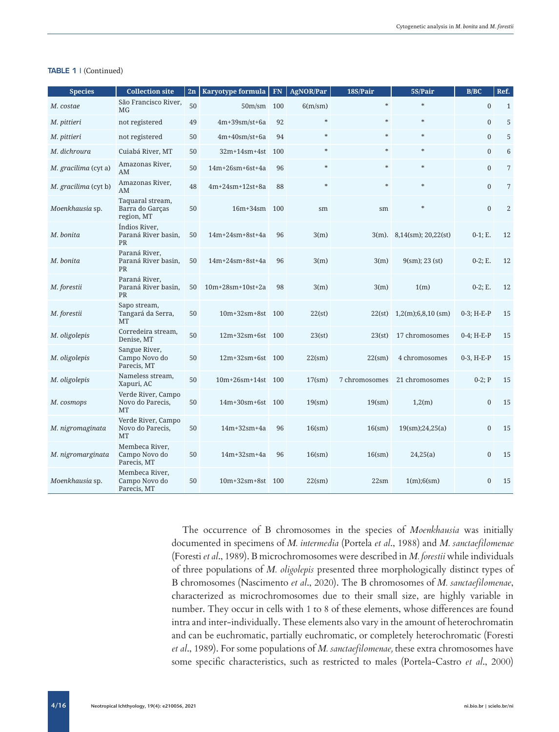| M. costae            | São Francisco River,<br><b>MG</b>                   | 50 | 50m/sm 100              |    | 6(m/sm)   | $\ast$        | $\ast$                     | $\bf{0}$        | 1              |
|----------------------|-----------------------------------------------------|----|-------------------------|----|-----------|---------------|----------------------------|-----------------|----------------|
| M. pittieri          | not registered                                      | 49 | $4m+39sm/st+6a$         | 92 | $\ast$    |               | ×                          | $\overline{0}$  | 5              |
| M. pittieri          | not registered                                      | 50 | $4m+40$ sm/st+6a        | 94 | $\ast$    | $*$           | $\ast$                     | $\overline{0}$  | 5              |
| M. dichroura         | Cuiabá River, MT                                    | 50 | 32m+14sm+4st 100        |    | $\ast$    | $\ast$        | $\ast$                     | $\overline{0}$  | 6              |
| M. gracilima (cyt a) | Amazonas River,<br>AM                               | 50 | 14m+26sm+6st+4a         | 96 | $\ast$    | $\ast$        | ×                          | $\overline{0}$  | 7              |
| M. gracilima (cyt b) | Amazonas River,<br>AM                               | 48 | $4m+24sm+12st+8a$       | 88 | $*$       | $\ast$        | $\ast$                     | $\overline{0}$  | 7              |
| Moenkhausia sp.      | Taquaral stream,<br>Barra do Garcas<br>region, MT   | 50 | 16m+34sm 100            |    | sm        | sm            | *                          | $\overline{0}$  | $\overline{2}$ |
| M. bonita            | Índios River.<br>Paraná River basin,<br>PR          | 50 | $14m + 24sm + 8st + 4a$ | 96 | 3(m)      | $3(m)$ .      | $8,14$ (sm); $20,22$ (st)  | $0-1; E.$       | 12             |
| M. bonita            | Paraná River.<br>Paraná River basin,<br>PR          | 50 | $14m + 24sm + 8st + 4a$ | 96 | 3(m)      | 3(m)          | $9 \times$ ); 23 (st)      | $0-2; E.$       | 12             |
| M. forestii          | Paraná River,<br>Paraná River basin,<br>PR          | 50 | $10m+28sm+10st+2a$      | 98 | 3(m)      | 3(m)          | 1(m)                       | $0-2; E.$       | 12             |
| M. forestii          | Sapo stream,<br>Tangará da Serra,<br><b>MT</b>      | 50 | 10m+32sm+8st 100        |    | 22(st)    | 22(st)        | $1,2(m)$ ;6,8,10 (sm)      | $0-3$ ; H-E-P   | 15             |
| M. oligolepis        | Corredeira stream,<br>Denise, MT                    | 50 | $12m+32sm+6st$ 100      |    | 23(st)    | 23(st)        | 17 chromosomes             | $0-4$ ; $H-E-P$ | 15             |
| M. oligolepis        | Sangue River,<br>Campo Novo do<br>Parecis, MT       | 50 | 12m+32sm+6st 100        |    | $22$ (sm) | $22$ (sm)     | 4 chromosomes              | $0-3$ , $H-E-P$ | 15             |
| M. oligolepis        | Nameless stream,<br>Xapuri, AC                      | 50 | 10m+26sm+14st 100       |    | $17$ (sm) | 7 chromosomes | 21 chromosomes             | $0-2; P$        | 15             |
| M. cosmops           | Verde River, Campo<br>Novo do Parecis,<br><b>MT</b> | 50 | 14m+30sm+6st 100        |    | $19$ (sm) | $19$ (sm)     | 1,2(m)                     | $\Omega$        | 15             |
| M. nigromaginata     | Verde River, Campo<br>Novo do Parecis,<br><b>MT</b> | 50 | $14m+32sm+4a$           | 96 | $16$ (sm) | $16$ (sm)     | $19 \times (sm)$ ;24,25(a) | $\mathbf{0}$    | 15             |
| M. nigromarginata    | Membeca River,<br>Campo Novo do<br>Parecis, MT      | 50 | $14m+32sm+4a$           | 96 | $16$ (sm) | $16$ (sm)     | 24,25(a)                   | $\overline{0}$  | 15             |
| Moenkhausia sp.      | Membeca River,<br>Campo Novo do<br>Parecis, MT      | 50 | 10m+32sm+8st 100        |    | $22$ (sm) | $22\text{sm}$ | $1(m)$ ;6(sm)              | $\Omega$        | 15             |

**Species Collection site 2n Karyotype formula FN AgNOR/Par 18S/Pair 5S/Pair B/BC Ref.**

#### TABLE 1 | (Continued)

The occurrence of B chromosomes in the species of *Moenkhausia* was initially documented in specimens of *M. intermedia* (Portela *et al*., 1988) and *M. sanctaefilomenae* (Foresti *et al*., 1989). B microchromosomes were described in *M. forestii* while individuals of three populations of *M. oligolepis* presented three morphologically distinct types of B chromosomes (Nascimento *et al*., 2020). The B chromosomes of *M. sanctaefilomenae*, characterized as microchromosomes due to their small size, are highly variable in number. They occur in cells with 1 to 8 of these elements, whose differences are found intra and inter-individually. These elements also vary in the amount of heterochromatin and can be euchromatic, partially euchromatic, or completely heterochromatic (Foresti *et al*., 1989). For some populations of *M. sanctaefilomenae,* these extra chromosomes have some specific characteristics, such as restricted to males (Portela-Castro *et al*., 2000)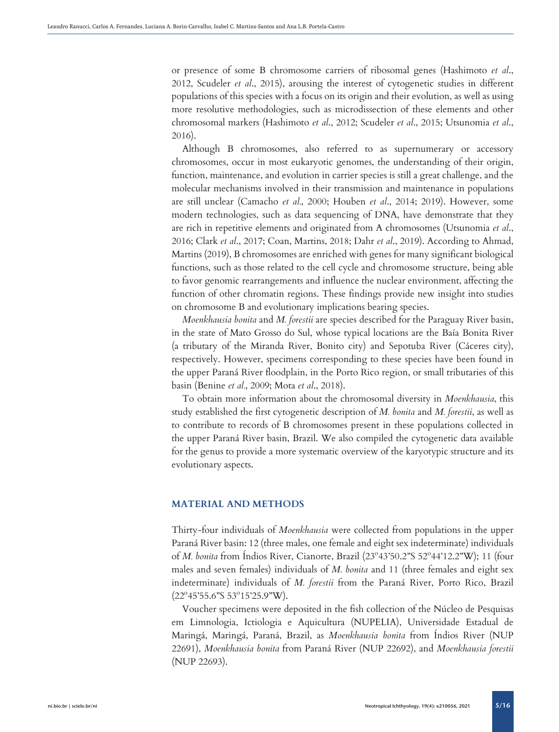or presence of some B chromosome carriers of ribosomal genes (Hashimoto *et al*., 2012, Scudeler *et al*., 2015), arousing the interest of cytogenetic studies in different populations of this species with a focus on its origin and their evolution, as well as using more resolutive methodologies, such as microdissection of these elements and other chromosomal markers (Hashimoto *et al*., 2012; Scudeler *et al*., 2015; Utsunomia *et al*., 2016).

Although B chromosomes, also referred to as supernumerary or accessory chromosomes, occur in most eukaryotic genomes, the understanding of their origin, function, maintenance, and evolution in carrier species is still a great challenge, and the molecular mechanisms involved in their transmission and maintenance in populations are still unclear (Camacho *et al.*, 2000; Houben *et al*., 2014; 2019). However, some modern technologies, such as data sequencing of DNA, have demonstrate that they are rich in repetitive elements and originated from A chromosomes (Utsunomia *et al*., 2016; Clark *et al*., 2017; Coan, Martins, 2018; Dahr *et al*., 2019). According to Ahmad, Martins (2019), B chromosomes are enriched with genes for many significant biological functions, such as those related to the cell cycle and chromosome structure, being able to favor genomic rearrangements and influence the nuclear environment, affecting the function of other chromatin regions. These findings provide new insight into studies on chromosome B and evolutionary implications bearing species.

*Moenkhausia bonita* and *M. forestii* are species described for the Paraguay River basin, in the state of Mato Grosso do Sul, whose typical locations are the Baía Bonita River (a tributary of the Miranda River, Bonito city) and Sepotuba River (Cáceres city), respectively. However, specimens corresponding to these species have been found in the upper Paraná River floodplain, in the Porto Rico region, or small tributaries of this basin (Benine *et al.*, 2009; Mota *et al*., 2018).

To obtain more information about the chromosomal diversity in *Moenkhausia*, this study established the first cytogenetic description of *M. bonita* and *M. forestii*, as well as to contribute to records of B chromosomes present in these populations collected in the upper Paraná River basin, Brazil. We also compiled the cytogenetic data available for the genus to provide a more systematic overview of the karyotypic structure and its evolutionary aspects.

# **MATERIAL AND METHODS**

Thirty-four individuals of *Moenkhausia* were collected from populations in the upper Paraná River basin: 12 (three males, one female and eight sex indeterminate) individuals of *M. bonita* from Índios River, Cianorte, Brazil (23º43'50.2"S 52º44'12.2"W); 11 (four males and seven females) individuals of *M. bonita* and 11 (three females and eight sex indeterminate) individuals of *M. forestii* from the Paraná River, Porto Rico, Brazil (22º45'55.6"S 53º15'25.9"W).

Voucher specimens were deposited in the fish collection of the Núcleo de Pesquisas em Limnologia, Ictiologia e Aquicultura (NUPELIA), Universidade Estadual de Maringá, Maringá, Paraná, Brazil, as *Moenkhausia bonita* from Índios River (NUP 22691), *Moenkhausia bonita* from Paraná River (NUP 22692), and *Moenkhausia forestii* (NUP 22693).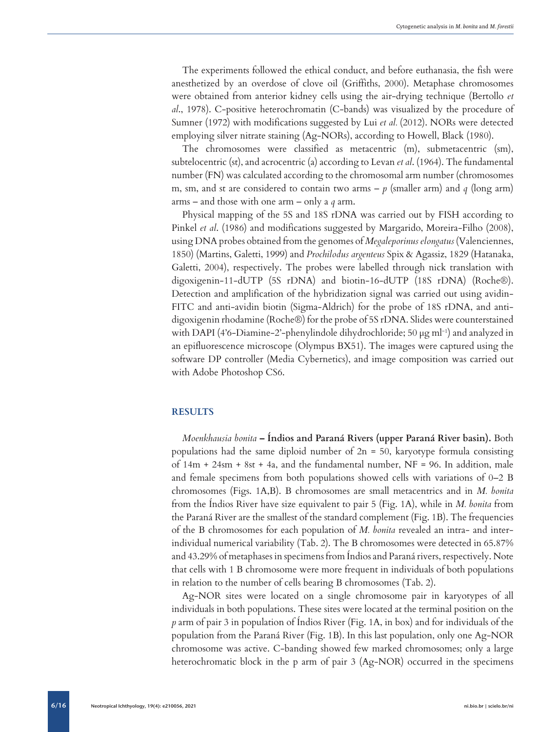The experiments followed the ethical conduct, and before euthanasia, the fish were anesthetized by an overdose of clove oil (Griffiths, 2000). Metaphase chromosomes were obtained from anterior kidney cells using the air-drying technique (Bertollo *et al*., 1978). C-positive heterochromatin (C-bands) was visualized by the procedure of Sumner (1972) with modifications suggested by Lui *et al.* (2012). NORs were detected employing silver nitrate staining (Ag-NORs), according to Howell, Black (1980).

The chromosomes were classified as metacentric (m), submetacentric (sm), subtelocentric (st), and acrocentric (a) according to Levan *et al*. (1964). The fundamental number (FN) was calculated according to the chromosomal arm number (chromosomes m, sm, and st are considered to contain two arms  $-p$  (smaller arm) and *q* (long arm) arms – and those with one arm – only a *q* arm.

Physical mapping of the 5S and 18S rDNA was carried out by FISH according to Pinkel *et al*. (1986) and modifications suggested by Margarido, Moreira-Filho (2008), using DNA probes obtained from the genomes of *Megaleporinus elongatus* (Valenciennes, 1850) (Martins, Galetti, 1999) and *Prochilodus argenteus* Spix & Agassiz, 1829 (Hatanaka, Galetti, 2004), respectively. The probes were labelled through nick translation with digoxigenin-11-dUTP (5S rDNA) and biotin-16-dUTP (18S rDNA) (Roche®). Detection and amplification of the hybridization signal was carried out using avidin-FITC and anti-avidin biotin (Sigma-Aldrich) for the probe of 18S rDNA, and antidigoxigenin rhodamine (Roche®) for the probe of 5S rDNA. Slides were counterstained with DAPI (4'6-Diamine-2'-phenylindole dihydrochloride; 50 μg ml*−*<sup>1</sup> ) and analyzed in an epifluorescence microscope (Olympus BX51). The images were captured using the software DP controller (Media Cybernetics), and image composition was carried out with Adobe Photoshop CS6.

# **RESULTS**

*Moenkhausia bonita* **– Índios and Paraná Rivers (upper Paraná River basin).** Both populations had the same diploid number of  $2n = 50$ , karyotype formula consisting of  $14m + 24sm + 8st + 4a$ , and the fundamental number,  $NF = 96$ . In addition, male and female specimens from both populations showed cells with variations of 0–2 B chromosomes (Figs. 1A,B). B chromosomes are small metacentrics and in *M. bonita* from the Índios River have size equivalent to pair 5 (Fig. 1A), while in *M. bonita* from the Paraná River are the smallest of the standard complement (Fig. 1B). The frequencies of the B chromosomes for each population of *M. bonita* revealed an intra- and interindividual numerical variability (Tab. 2). The B chromosomes were detected in 65.87% and 43.29% of metaphases in specimens from Índios and Paraná rivers, respectively. Note that cells with 1 B chromosome were more frequent in individuals of both populations in relation to the number of cells bearing B chromosomes (Tab. 2).

Ag-NOR sites were located on a single chromosome pair in karyotypes of all individuals in both populations. These sites were located at the terminal position on the *p* arm of pair 3 in population of Índios River (Fig. 1A, in box) and for individuals of the population from the Paraná River (Fig. 1B). In this last population, only one Ag-NOR chromosome was active. C-banding showed few marked chromosomes; only a large heterochromatic block in the p arm of pair 3 (Ag-NOR) occurred in the specimens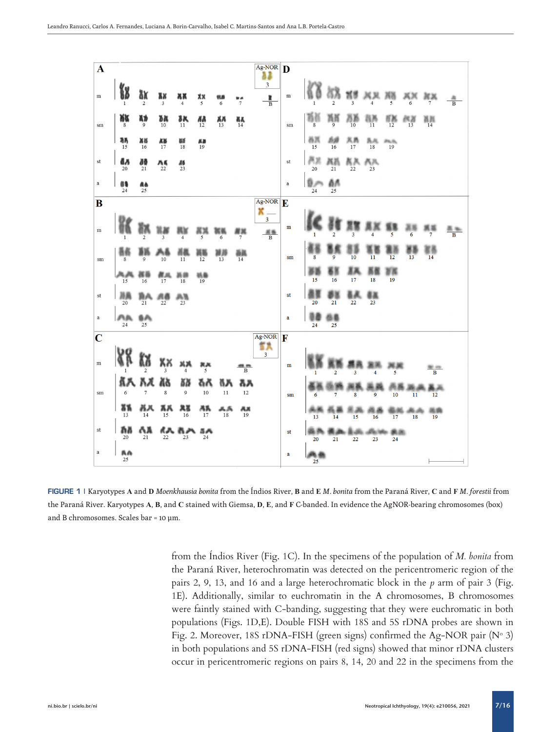

FIGURE 1 | Karyotypes **A** and **D** *Moenkhausia bonita* from the Índios River, **B** and **E** *M. bonita* from the Paraná River, **C** and **F** *M. forestii* from the Paraná River. Karyotypes **A**, **B**, and **C** stained with Giemsa, **D**, **E**, and **F** C-banded. In evidence the AgNOR-bearing chromosomes (box) and B chromosomes. Scales bar = 10 µm.

from the Índios River (Fig. 1C). In the specimens of the population of *M. bonita* from the Paraná River, heterochromatin was detected on the pericentromeric region of the pairs 2, 9, 13, and 16 and a large heterochromatic block in the *p* arm of pair 3 (Fig. 1E). Additionally, similar to euchromatin in the A chromosomes, B chromosomes were faintly stained with C-banding, suggesting that they were euchromatic in both populations (Figs. 1D,E). Double FISH with 18S and 5S rDNA probes are shown in Fig. 2. Moreover, 18S rDNA-FISH (green signs) confirmed the Ag-NOR pair ( $N^{\circ}$  3) in both populations and 5S rDNA-FISH (red signs) showed that minor rDNA clusters occur in pericentromeric regions on pairs 8, 14, 20 and 22 in the specimens from the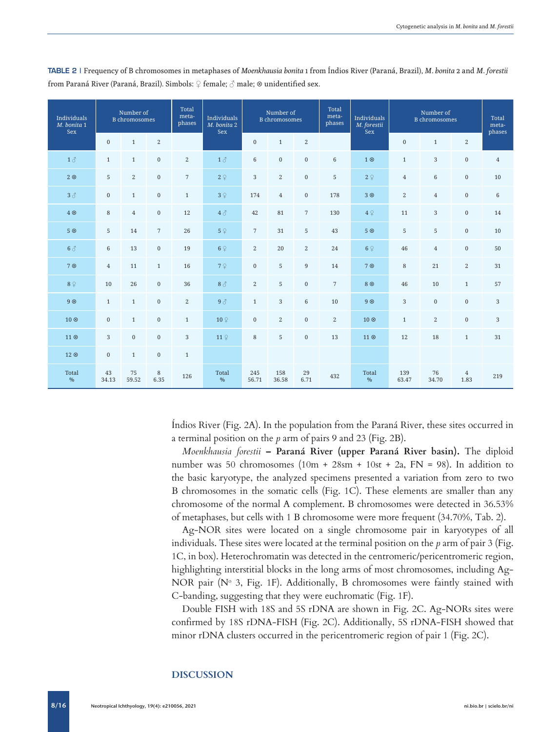| Individuals<br>M. bonita 1<br>Sex | Number of<br><b>B</b> chromosomes |                | Total<br>meta-<br>phases | Individuals<br>M. bonita 2<br><b>Sex</b> | Number of<br><b>B</b> chromosomes |                 |                                | Total<br>meta-<br>phases | Individuals<br>M. forestii<br><b>Sex</b> | Number of<br><b>B</b> chromosomes |              |                | Total<br>meta-<br>phases |                |
|-----------------------------------|-----------------------------------|----------------|--------------------------|------------------------------------------|-----------------------------------|-----------------|--------------------------------|--------------------------|------------------------------------------|-----------------------------------|--------------|----------------|--------------------------|----------------|
|                                   | $\overline{0}$                    | $\mathbf{1}$   | $\sqrt{2}$               |                                          |                                   | $\mathbf{0}$    | $\overline{2}$<br>$\mathbf{1}$ |                          | $\boldsymbol{0}$                         | $\mathbf{1}$                      | 2            |                |                          |                |
| $1\delta$                         | $\mathbf{1}$                      | $\mathbf{1}$   | $\boldsymbol{0}$         | $\sqrt{2}$                               | $1\delta$                         | $\,6\,$         | $\boldsymbol{0}$               | $\bf{0}$                 | $\,6\,$                                  | $1 \otimes$                       | $\,1\,$      | $\mathbf{3}$   | $\boldsymbol{0}$         | $\overline{4}$ |
| $2$<br>$\otimes$                  | 5                                 | $\sqrt{2}$     | $\boldsymbol{0}$         | $\overline{7}$                           | 29                                | 3               | $\sqrt{2}$                     | $\bf{0}$                 | 5                                        | 29                                | $\,4\,$      | $\,6\,$        | $\boldsymbol{0}$         | 10             |
| $3\delta$                         | $\boldsymbol{0}$                  | $1\,$          | $\boldsymbol{0}$         | $\mathbf{1}$                             | 39                                | 174             | $\sqrt{4}$                     | $\bf{0}$                 | 178                                      | $3 \circledcirc$                  | $\sqrt{2}$   | $\overline{4}$ | $\boldsymbol{0}$         | $\,6\,$        |
| $4 \circ$                         | $\,$ 8 $\,$                       | $\overline{4}$ | $\overline{0}$           | 12                                       | $4\delta$                         | 42              | 81                             | $\overline{7}$           | 130                                      | 4Q                                | 11           | 3              | $\boldsymbol{0}$         | 14             |
| $5 \circ$                         | 5                                 | 14             | $\overline{7}$           | 26                                       | 59                                | $7\phantom{.0}$ | 31                             | 5                        | 43                                       | $5 \circ$                         | 5            | 5              | $\boldsymbol{0}$         | 10             |
| $6\delta$                         | $\,6\,$                           | 13             | $\mathbf{0}$             | 19                                       | 69                                | $\sqrt{2}$      | 20                             | $\overline{2}$           | 24                                       | 69                                | 46           | $\overline{4}$ | $\boldsymbol{0}$         | 50             |
| $7$ $\otimes$                     | $\overline{4}$                    | 11             | $\mathbf{1}$             | 16                                       | 79                                | $\mathbf{0}$    | 5                              | $\overline{9}$           | 14                                       | $7$ $\otimes$                     | $\,8\,$      | 21             | $\overline{2}$           | 31             |
| 8Q                                | 10                                | 26             | $\mathbf{0}$             | 36                                       | $8\delta$                         | $\overline{2}$  | 5                              | $\mathbf{0}$             | $7\phantom{.}$                           | $8 \circledcirc$                  | 46           | 10             | $1\,$                    | 57             |
| 9 <sup>°</sup>                    | $\mathbf{1}$                      | $\mathbf{1}$   | $\overline{0}$           | $\overline{2}$                           | 9 <sup>3</sup>                    | $\mathbf{1}$    | 3                              | 6                        | 10                                       | 9 <sup>°</sup>                    | $\mathbf{3}$ | $\mathbf 0$    | $\boldsymbol{0}$         | 3              |
| $10 \otimes$                      | $\mathbf{0}$                      | $\mathbf{1}$   | $\boldsymbol{0}$         | $\mathbf{1}$                             | 10 <sup>°</sup>                   | $\mathbf{0}$    | $\sqrt{2}$                     | $\bf{0}$                 | $\mathbf{2}$                             | $10 \otimes$                      | $\,1\,$      | $\sqrt{2}$     | $\boldsymbol{0}$         | $\sqrt{3}$     |
| $11 \otimes$                      | $\mathbf{3}$                      | $\bf{0}$       | $\boldsymbol{0}$         | $\mathbf{3}$                             | 11 <sup>°</sup>                   | $\,8\,$         | 5                              | $\bf{0}$                 | 13                                       | $11 \otimes$                      | 12           | 18             | $1\,$                    | 31             |
| $12 \otimes$                      | $\mathbf{0}$                      | $\mathbf{1}$   | $\boldsymbol{0}$         | $\,1\,$                                  |                                   |                 |                                |                          |                                          |                                   |              |                |                          |                |
| Total<br>$\frac{0}{0}$            | 43<br>34.13                       | 75<br>59.52    | $\,$ 8 $\,$<br>6.35      | 126                                      | Total<br>$\frac{0}{0}$            | 245<br>56.71    | 158<br>36.58                   | 29<br>6.71               | 432                                      | Total<br>$\frac{0}{0}$            | 139<br>63.47 | 76<br>34.70    | $\,4$<br>1.83            | 219            |

TABLE 2 | Frequency of B chromosomes in metaphases of *Moenkhausia bonita* 1 from Índios River (Paraná, Brazil), *M. bonita* 2 and *M. forestii* from Paraná River (Paraná, Brazil). Simbols: **♀** female; **♂** male; V unidentified sex.

> Índios River (Fig. 2A). In the population from the Paraná River, these sites occurred in a terminal position on the *p* arm of pairs 9 and 23 (Fig. 2B).

> *Moenkhausia forestii* **– Paraná River (upper Paraná River basin).** The diploid number was 50 chromosomes (10m + 28sm + 10st + 2a, FN = 98). In addition to the basic karyotype, the analyzed specimens presented a variation from zero to two B chromosomes in the somatic cells (Fig. 1C). These elements are smaller than any chromosome of the normal A complement. B chromosomes were detected in 36.53% of metaphases, but cells with 1 B chromosome were more frequent (34.70%, Tab. 2).

> Ag-NOR sites were located on a single chromosome pair in karyotypes of all individuals. These sites were located at the terminal position on the *p* arm of pair 3 (Fig. 1C, in box). Heterochromatin was detected in the centromeric/pericentromeric region, highlighting interstitial blocks in the long arms of most chromosomes, including Ag-NOR pair ( $N^{\circ}$  3, Fig. 1F). Additionally, B chromosomes were faintly stained with C-banding, suggesting that they were euchromatic (Fig. 1F).

> Double FISH with 18S and 5S rDNA are shown in Fig. 2C. Ag-NORs sites were confirmed by 18S rDNA-FISH (Fig. 2C). Additionally, 5S rDNA-FISH showed that minor rDNA clusters occurred in the pericentromeric region of pair 1 (Fig. 2C).

### **DISCUSSION**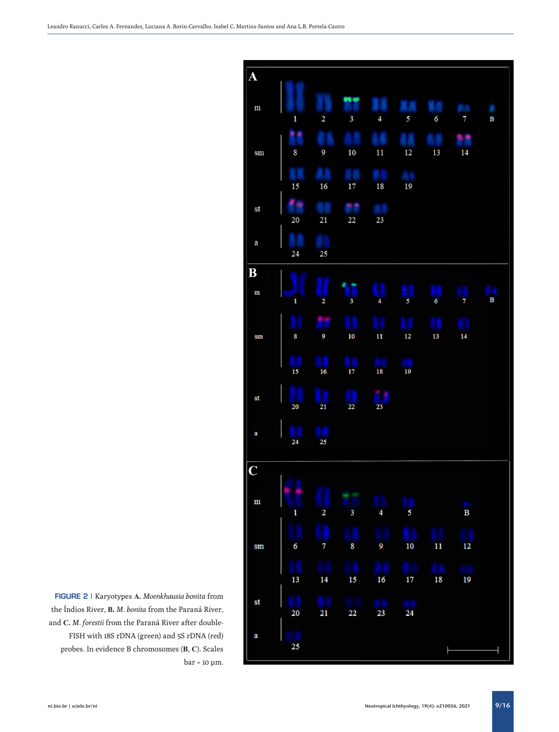

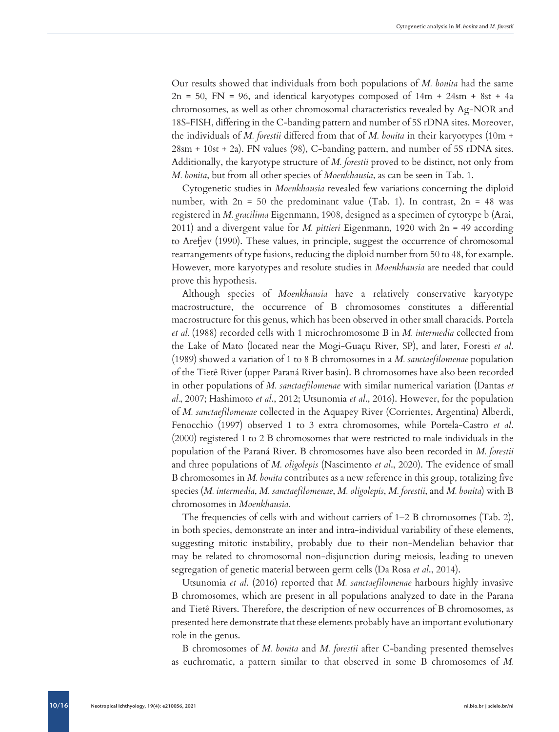Our results showed that individuals from both populations of *M. bonita* had the same  $2n = 50$ , FN = 96, and identical karyotypes composed of  $14m + 24sm + 8st + 4a$ chromosomes, as well as other chromosomal characteristics revealed by Ag-NOR and 18S-FISH, differing in the C-banding pattern and number of 5S rDNA sites. Moreover, the individuals of *M. forestii* differed from that of *M. bonita* in their karyotypes (10m + 28sm + 10st + 2a). FN values (98), C-banding pattern, and number of 5S rDNA sites. Additionally, the karyotype structure of *M. forestii* proved to be distinct, not only from *M. bonita*, but from all other species of *Moenkhausia*, as can be seen in Tab. 1.

Cytogenetic studies in *Moenkhausia* revealed few variations concerning the diploid number, with  $2n = 50$  the predominant value (Tab. 1). In contrast,  $2n = 48$  was registered in *M. gracilima* Eigenmann, 1908, designed as a specimen of cytotype b (Arai, 2011) and a divergent value for *M. pittieri* Eigenmann, 1920 with 2n = 49 according to Arefjev (1990). These values, in principle, suggest the occurrence of chromosomal rearrangements of type fusions, reducing the diploid number from 50 to 48, for example. However, more karyotypes and resolute studies in *Moenkhausia* are needed that could prove this hypothesis.

Although species of *Moenkhausia* have a relatively conservative karyotype macrostructure, the occurrence of B chromosomes constitutes a differential macrostructure for this genus, which has been observed in other small characids. Portela *et al.* (1988) recorded cells with 1 microchromosome B in *M. intermedia* collected from the Lake of Mato (located near the Mogi-Guaçu River, SP), and later, Foresti *et al*. (1989) showed a variation of 1 to 8 B chromosomes in a *M. sanctaefilomenae* population of the Tietê River (upper Paraná River basin). B chromosomes have also been recorded in other populations of *M. sanctaefilomenae* with similar numerical variation (Dantas *et al.*, 2007; Hashimoto *et al*., 2012; Utsunomia *et al*., 2016). However, for the population of *M. sanctaefilomenae* collected in the Aquapey River (Corrientes, Argentina) Alberdi, Fenocchio (1997) observed 1 to 3 extra chromosomes, while Portela-Castro *et al*. (2000) registered 1 to 2 B chromosomes that were restricted to male individuals in the population of the Paraná River. B chromosomes have also been recorded in *M. forestii* and three populations of *M. oligolepis* (Nascimento *et al*., 2020). The evidence of small B chromosomes in *M. bonita* contributes as a new reference in this group, totalizing five species (*M. intermedia*, *M. sanctaefilomenae*, *M. oligolepis*, *M. forestii*, and *M. bonita*) with B chromosomes in *Moenkhausia.*

The frequencies of cells with and without carriers of 1–2 B chromosomes (Tab. 2), in both species, demonstrate an inter and intra-individual variability of these elements, suggesting mitotic instability, probably due to their non-Mendelian behavior that may be related to chromosomal non-disjunction during meiosis, leading to uneven segregation of genetic material between germ cells (Da Rosa *et al*., 2014).

Utsunomia *et al*. (2016) reported that *M. sanctaefilomenae* harbours highly invasive B chromosomes, which are present in all populations analyzed to date in the Parana and Tietê Rivers. Therefore, the description of new occurrences of B chromosomes, as presented here demonstrate that these elements probably have an important evolutionary role in the genus.

B chromosomes of *M. bonita* and *M. forestii* after C-banding presented themselves as euchromatic, a pattern similar to that observed in some B chromosomes of *M.*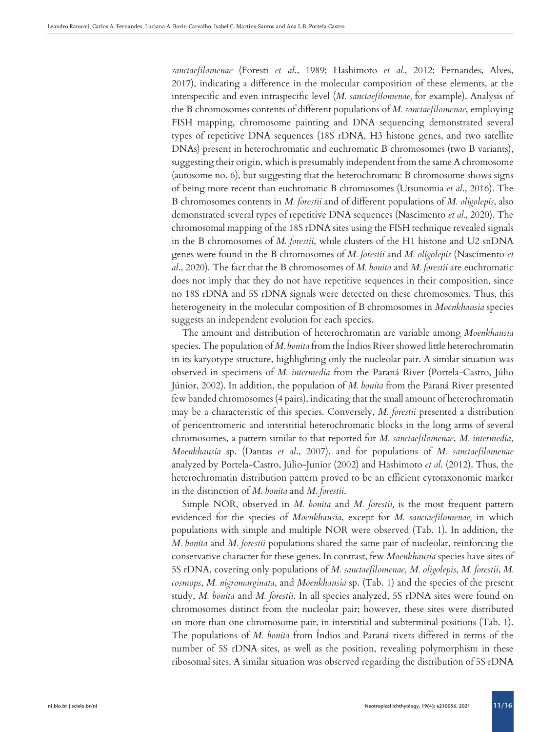*sanctaefilomenae* (Foresti *et al*., 1989; Hashimoto *et al.*, 2012; Fernandes, Alves, 2017), indicating a difference in the molecular composition of these elements, at the interspecific and even intraspecific level (*M. sanctaefilomenae,* for example). Analysis of the B chromosomes contents of different populations of *M. sanctaefilomenae*, employing FISH mapping, chromosome painting and DNA sequencing demonstrated several types of repetitive DNA sequences (18S rDNA, H3 histone genes, and two satellite DNAs) present in heterochromatic and euchromatic B chromosomes (two B variants), suggesting their origin, which is presumably independent from the same A chromosome (autosome no. 6), but suggesting that the heterochromatic B chromosome shows signs of being more recent than euchromatic B chromosomes (Utsunomia *et al*., 2016). The B chromosomes contents in *M. forestii* and of different populations of *M. oligolepis*, also demonstrated several types of repetitive DNA sequences (Nascimento *et al.*, 2020). The chromosomal mapping of the 18S rDNA sites using the FISH technique revealed signals in the B chromosomes of *M. forestii*, while clusters of the H1 histone and U2 snDNA genes were found in the B chromosomes of *M. forestii* and *M. oligolepis* (Nascimento *et al*., 2020). The fact that the B chromosomes of *M. bonita* and *M. forestii* are euchromatic does not imply that they do not have repetitive sequences in their composition, since no 18S rDNA and 5S rDNA signals were detected on these chromosomes. Thus, this heterogeneity in the molecular composition of B chromosomes in *Moenkhausia* species suggests an independent evolution for each species.

The amount and distribution of heterochromatin are variable among *Moenkhausia* species. The population of *M. bonita* from the Índios River showed little heterochromatin in its karyotype structure, highlighting only the nucleolar pair. A similar situation was observed in specimens of *M. intermedia* from the Paraná River (Portela-Castro, Júlio Júnior, 2002). In addition, the population of *M. bonita* from the Paraná River presented few banded chromosomes (4 pairs), indicating that the small amount of heterochromatin may be a characteristic of this species. Conversely, *M. forestii* presented a distribution of pericentromeric and interstitial heterochromatic blocks in the long arms of several chromosomes, a pattern similar to that reported for *M. sanctaefilomenae*, *M. intermedia*, *Moenkhausia* sp. (Dantas *et al*., 2007), and for populations of *M. sanctaefilomenae* analyzed by Portela-Castro, Júlio-Junior (2002) and Hashimoto *et al*. (2012). Thus, the heterochromatin distribution pattern proved to be an efficient cytotaxonomic marker in the distinction of *M. bonita* and *M. forestii*.

Simple NOR, observed in *M. bonita* and *M. forestii,* is the most frequent pattern evidenced for the species of *Moenkhausia*, except for *M. sanctaefilomenae,* in which populations with simple and multiple NOR were observed (Tab. 1). In addition, the *M. bonita* and *M. forestii* populations shared the same pair of nucleolar, reinforcing the conservative character for these genes. In contrast, few *Moenkhausia* species have sites of 5S rDNA, covering only populations of *M. sanctaefilomenae*, *M. oligolepis*, *M. forestii*, *M. cosmops*, *M. nigromarginata*, and *Moenkhausia* sp. (Tab. 1) and the species of the present study, *M. bonita* and *M. forestii*. In all species analyzed, 5S rDNA sites were found on chromosomes distinct from the nucleolar pair; however, these sites were distributed on more than one chromosome pair, in interstitial and subterminal positions (Tab. 1). The populations of *M. bonita* from Índios and Paraná rivers differed in terms of the number of 5S rDNA sites, as well as the position, revealing polymorphism in these ribosomal sites. A similar situation was observed regarding the distribution of 5S rDNA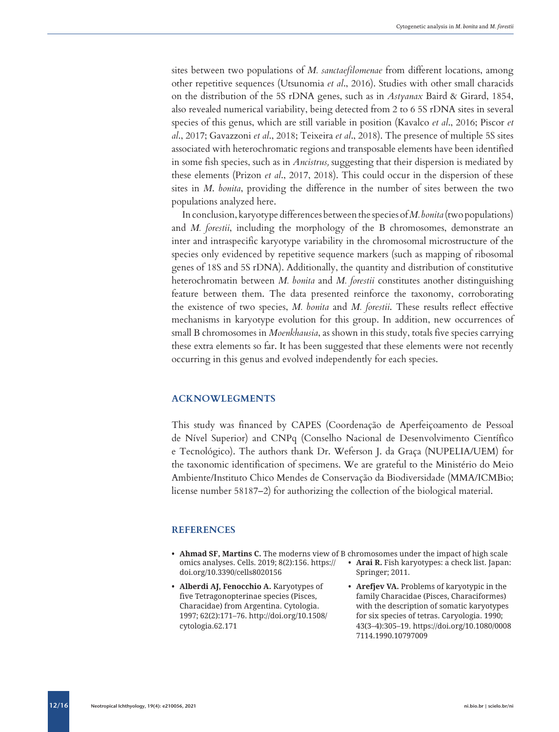sites between two populations of *M. sanctaefilomenae* from different locations, among other repetitive sequences (Utsunomia *et al*., 2016). Studies with other small characids on the distribution of the 5S rDNA genes, such as in *Astyanax* Baird & Girard, 1854, also revealed numerical variability, being detected from 2 to 6 5S rDNA sites in several species of this genus, which are still variable in position (Kavalco *et al*., 2016; Piscor *et al*., 2017; Gavazzoni *et al*., 2018; Teixeira *et al*., 2018). The presence of multiple 5S sites associated with heterochromatic regions and transposable elements have been identified in some fish species, such as in *Ancistrus,* suggesting that their dispersion is mediated by these elements (Prizon *et al*., 2017, 2018). This could occur in the dispersion of these sites in *M*. *bonita*, providing the difference in the number of sites between the two populations analyzed here.

In conclusion, karyotype differences between the species of *M. bonita* (two populations) and *M. forestii*, including the morphology of the B chromosomes, demonstrate an inter and intraspecific karyotype variability in the chromosomal microstructure of the species only evidenced by repetitive sequence markers (such as mapping of ribosomal genes of 18S and 5S rDNA). Additionally, the quantity and distribution of constitutive heterochromatin between *M. bonita* and *M. forestii* constitutes another distinguishing feature between them. The data presented reinforce the taxonomy, corroborating the existence of two species, *M. bonita* and *M. forestii*. These results reflect effective mechanisms in karyotype evolution for this group. In addition, new occurrences of small B chromosomes in *Moenkhausia*, as shown in this study, totals five species carrying these extra elements so far. It has been suggested that these elements were not recently occurring in this genus and evolved independently for each species.

#### **ACKNOWLEGMENTS**

This study was financed by CAPES (Coordenação de Aperfeiçoamento de Pessoal de Nível Superior) and CNPq (Conselho Nacional de Desenvolvimento Científico e Tecnológico). The authors thank Dr. Weferson J. da Graça (NUPELIA/UEM) for the taxonomic identification of specimens. We are grateful to the Ministério do Meio Ambiente/Instituto Chico Mendes de Conservação da Biodiversidade (MMA/ICMBio; license number 58187–2) for authorizing the collection of the biological material.

# **REFERENCES**

- **• Ahmad SF, Martins C.** The moderns view of B chromosomes under the impact of high scale omics analyses. Cells. 2019; 8(2):156. [https://](https://doi.org/10.3390/cells8020156) [doi.org/10.3390/cells8020156](https://doi.org/10.3390/cells8020156) **• Arai R.** Fish karyotypes: a check list. Japan: Springer; 2011.
- **• Alberdi AJ, Fenocchio A.** Karyotypes of five Tetragonopterinae species (Pisces, Characidae) from Argentina. Cytologia. 1997; 62(2):171–76. [http://doi.org/10.1508/](http://doi.org/10.1508/cytologia.62.171) [cytologia.62.171](http://doi.org/10.1508/cytologia.62.171)
- **• Arefjev VA.** Problems of karyotypic in the family Characidae (Pisces, Characiformes) with the description of somatic karyotypes for six species of tetras. Caryologia. 1990; 43(3–4):305–19. [https://doi.org/10.1080/0008](https://doi.org/10.1080/00087114.1990.10797009) [7114.1990.10797009](https://doi.org/10.1080/00087114.1990.10797009)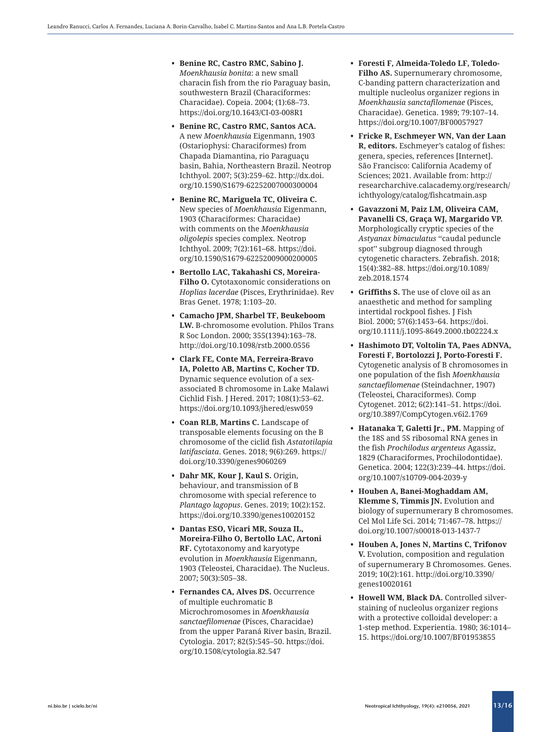- *Moenkhausia bonita*: a new small characin fish from the rio Paraguay basin, southwestern Brazil (Characiformes: Characidae). Copeia. 2004; (1):68–73. <https://doi.org/10.1643/CI-03-008R1>
- **• Benine RC, Castro RMC, Santos ACA.** A new *Moenkhausia* Eigenmann, 1903 (Ostariophysi: Characiformes) from Chapada Diamantina, rio Paraguaçu basin, Bahia, Northeastern Brazil. Neotrop Ichthyol. 2007; 5(3):259–62. [http://dx.doi.](http://dx.doi.org/10.1590/S1679-62252007000300004) [org/10.1590/S1679-62252007000300004](http://dx.doi.org/10.1590/S1679-62252007000300004)
- **• Benine RC, Mariguela TC, Oliveira C.** New species of *Moenkhausia* Eigenmann, 1903 (Characiformes: Characidae) with comments on the *Moenkhausia oligolepis* species complex. Neotrop Ichthyol. 2009; 7(2):161 **–**68. [https://doi.](https://doi.org/10.1590/S1679-62252009000200005) [org/10.1590/S1679-62252009000200005](https://doi.org/10.1590/S1679-62252009000200005)
- **• Bertollo LAC, Takahashi CS, Moreira-Filho O.** Cytotaxonomic considerations on *Hoplias lacerdae* (Pisces, Erythrinidae). Rev Bras Genet. 1978; 1:103–20.
- **• Camacho JPM, Sharbel TF, Beukeboom LW.** B-chromosome evolution. Philos Trans R Soc London. 2000; 355(1394):163–78. <http://doi.org/10.1098/rstb.2000.0556>
- **• Clark FE, Conte MA, Ferreira-Bravo IA, Poletto AB, Martins C, Kocher TD.** Dynamic sequence evolution of a sexassociated B chromosome in Lake Malawi Cichlid Fish. J Hered. 2017; 108(1):53–62. <https://doi.org/10.1093/jhered/esw059>
- **• Coan RLB, Martins C.** Landscape of transposable elements focusing on the B chromosome of the ciclid fish *Astatotilapia latifasciata*. Genes. 2018; 9(6):269. [https://](https://doi.org/10.3390/genes9060269) [doi.org/10.3390/genes9060269](https://doi.org/10.3390/genes9060269)
- **• Dahr MK, Kour J, Kaul S.** Origin, behaviour, and transmission of B chromosome with special reference to *Plantago lagopus*. Genes. 2019; 10(2):152. <https://doi.org/10.3390/genes10020152>
- **• Dantas ESO, Vicari MR, Souza IL, Moreira-Filho O, Bertollo LAC, Artoni RF.** Cytotaxonomy and karyotype evolution in *Moenkhausia* Eigenmann, 1903 (Teleostei, Characidae). The Nucleus. 2007; 50(3):505–38.
- **• Fernandes CA, Alves DS.** Occurrence of multiple euchromatic B Microchromosomes in *Moenkhausia sanctaefilomenae* (Pisces, Characidae) from the upper Paraná River basin, Brazil. Cytologia. 2017; 82(5):545–50. [https://doi.](https://doi.org/10.1508/cytologia.82.547) [org/10.1508/cytologia.82.547](https://doi.org/10.1508/cytologia.82.547)
- **• Foresti F, Almeida-Toledo LF, Toledo-Filho AS.** Supernumerary chromosome, C-banding pattern characterization and multiple nucleolus organizer regions in *Moenkhausia sanctafilomenae* (Pisces, Characidae). Genetica. 1989; 79:107–14. <https://doi.org/10.1007/BF00057927>
- **• Fricke R, Eschmeyer WN, Van der Laan R, editors.** Eschmeyer's catalog of fishes: genera, species, references [Internet]. São Francisco: California Academy of Sciences; 2021. Available from: [http://](http://researcharchive.calacademy.org/research/ichthyology/catalog/fishcatmain.asp) [researcharchive.calacademy.org/research/](http://researcharchive.calacademy.org/research/ichthyology/catalog/fishcatmain.asp) [ichthyology/catalog/fishcatmain.asp](http://researcharchive.calacademy.org/research/ichthyology/catalog/fishcatmain.asp)
- **• Gavazzoni M, Paiz LM, Oliveira CAM, Pavanelli CS, Graça WJ, Margarido VP.** Morphologically cryptic species of the *Astyanax bimaculatus* ''caudal peduncle spot'' subgroup diagnosed through cytogenetic characters. Zebrafish. 2018; 15(4):382–88. [https://doi.org/10.1089/](https://doi.org/10.1089/zeb.2018.1574) [zeb.2018.1574](https://doi.org/10.1089/zeb.2018.1574)
- **• Griffiths S.** The use of clove oil as an anaesthetic and method for sampling intertidal rockpool fishes. J Fish Biol. 2000; 57(6):1453–64. [https://doi.](https://doi.org/10.1111/j.1095-8649.2000.tb02224.x) [org/10.1111/j.1095-8649.2000.tb02224.x](https://doi.org/10.1111/j.1095-8649.2000.tb02224.x)
- **Neotropic Context Context Assemblance Context Assemblance Context Assemblance Context Assemblance Context Assemblance Context Assemblance Context Assemblance Context Assemblance Context Assemblance Context Assemblance C • Hashimoto DT, Voltolin TA, Paes ADNVA, Foresti F, Bortolozzi J, Porto-Foresti F.** Cytogenetic analysis of B chromosomes in one population of the fish *Moenkhausia sanctaefilomenae* (Steindachner, 1907) (Teleostei, Characiformes). Comp Cytogenet. 2012; 6(2):141–51. [https://doi.](https://doi.org/10.3897/CompCytogen.v6i2.1769) [org/10.3897/CompCytogen.v6i2.1769](https://doi.org/10.3897/CompCytogen.v6i2.1769)
	- **• Hatanaka T, Galetti Jr., PM.** Mapping of the 18S and 5S ribosomal RNA genes in the fish *Prochilodus argenteus* Agassiz, 1829 (Characiformes, Prochilodontidae). Genetica. 2004; 122(3):239–44. [https://doi.](https://doi.org/10.1007/s10709-004-2039-y) [org/10.1007/s10709-004-2039-y](https://doi.org/10.1007/s10709-004-2039-y)
	- **• Houben A, Banei-Moghaddam AM, Klemme S, Timmis JN.** Evolution and biology of supernumerary B chromosomes. Cel Mol Life Sci. 2014; 71:467–78. [https://](https://doi.org/10.1007/s00018-013-1437-7) [doi.org/10.1007/s00018-013-1437-7](https://doi.org/10.1007/s00018-013-1437-7)
	- **• Houben A, Jones N, Martins C, Trifonov V.** Evolution, composition and regulation of supernumerary B Chromosomes. Genes. 2019; 10(2):161. [http://doi.org/10.3390/](http://doi.org/10.3390/genes10020161) [genes10020161](http://doi.org/10.3390/genes10020161)
	- **• Howell WM, Black DA.** Controlled silverstaining of nucleolus organizer regions with a protective colloidal developer: a 1-step method. Experientia. 1980; 36:1014– 15.<https://doi.org/10.1007/BF01953855>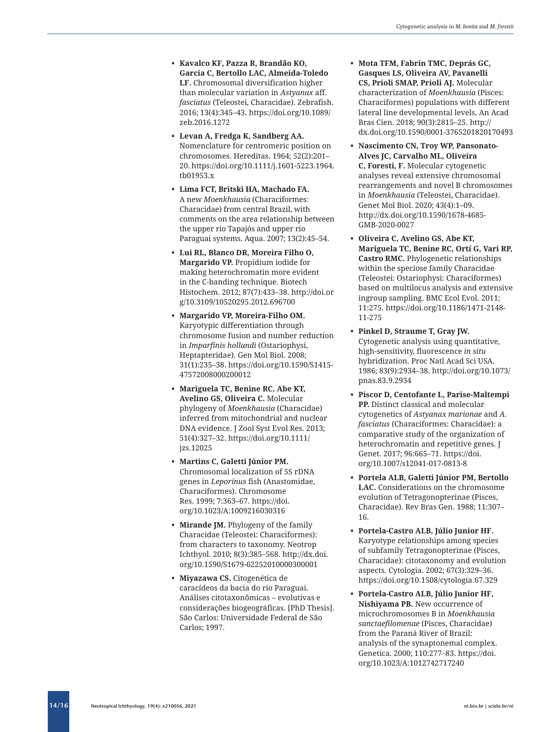- **Garcia C, Bertollo LAC, Almeida-Toledo LF.** Chromosomal diversification higher than molecular variation in *Astyanax* aff. *fasciatus* (Teleostei, Characidae). Zebrafish. 2016; 13(4):345–43. [https://doi.org/10.1089/](https://doi.org/10.1089/zeb.2016.1272) [zeb.2016.1272](https://doi.org/10.1089/zeb.2016.1272)
- **• Levan A, Fredga K, Sandberg AA.** Nomenclature for centromeric position on chromosomes. Hereditas. 1964; 52(2):201– 20. [https://doi.org/10.1111/j.1601-5223.1964.](https://doi.org/10.1111/j.1601-5223.1964.tb01953.x) [tb01953.x](https://doi.org/10.1111/j.1601-5223.1964.tb01953.x)
- **• Lima FCT, Britski HA, Machado FA.** A new *Moenkhausia* (Characiformes: Characidae) from central Brazil, with comments on the area relationship between the upper rio Tapajós and upper rio Paraguai systems. Aqua. 2007; 13(2):45–54.
- **• Lui RL, Blanco DR, Moreira Filho O, Margarido VP.** Propidium iodide for making heterochromatin more evident in the C-banding technique. Biotech Histochem. 2012; 87(7):433–38. [http://doi.or](http://doi.org/10.3109/10520295.2012.696700) [g/10.3109/10520295.2012.696700](http://doi.org/10.3109/10520295.2012.696700)
- **• Margarido VP, Moreira-Filho OM.** Karyotypic differentiation through chromosome fusion and number reduction in *Imparfinis hollandi* (Ostariophysi, Heptapteridae). Gen Mol Biol. 2008; 31(1):235 **–**38. [https://doi.org/10.1590/S1415-](https://doi.org/10.1590/S1415-47572008000200012) [47572008000200012](https://doi.org/10.1590/S1415-47572008000200012)
- **• Mariguela TC, Benine RC, Abe KT, Avelino GS, Oliveira C.** Molecular phylogeny of *Moenkhausia* (Characidae) inferred from mitochondrial and nuclear DNA evidence. J Zool Syst Evol Res. 2013; 51(4):327–32. [https://doi.org/10.1111/](https://doi.org/10.1111/jzs.12025) [jzs.12025](https://doi.org/10.1111/jzs.12025)
- **• Martins C, Galetti Júnior PM.** Chromosomal localization of 5S rDNA genes in *Leporinus* fish (Anastomidae, Characiformes). Chromosome Res. 1999; 7:363–67. [https://doi.](https://doi.org/10.1023/A:1009216030316) [org/10.1023/A:1009216030316](https://doi.org/10.1023/A:1009216030316)
- **• Mirande JM.** Phylogeny of the family Characidae (Teleostei: Characiformes): from characters to taxonomy. Neotrop Ichthyol. 2010; 8(3):385–568. [http://dx.doi.](http://dx.doi.org/10.1590/S1679-62252010000300001) [org/10.1590/S1679-62252010000300001](http://dx.doi.org/10.1590/S1679-62252010000300001)
- **• Miyazawa CS.** Citogenética de caracídeos da bacia do rio Paraguai. Análises citotaxonômicas – evolutivas e considerações biogeográficas. [PhD Thesis]. São Carlos: Universidade Federal de São Carlos; 1997.
- **• Mota TFM, Fabrin TMC, Deprás GC, Gasques LS, Oliveira AV, Pavanelli CS, Prioli SMAP, Prioli AJ.** Molecular characterization of *Moenkhausia* (Pisces: Characiformes) populations with different lateral line developmental levels. An Acad Bras Cien. 2018; 90(3):2815–25. [http://](http://dx.doi.org/10.1590/0001-3765201820170493) [dx.doi.org/10.1590/0001-3765201820170493](http://dx.doi.org/10.1590/0001-3765201820170493)
- **• Nascimento CN, Troy WP, Pansonato-Alves JC, Carvalho ML, Oliveira C, Foresti, F.** Molecular cytogenetic analyses reveal extensive chromosomal rearrangements and novel B chromosomes in *Moenkhausia* (Teleostei, Characidae). Genet Mol Biol. 2020; 43(4):1–09. [http://dx.doi.org/10.1590/1678-4685-](http://dx.doi.org/10.1590/1678-4685-GMB-2020-0027) [GMB-2020-0027](http://dx.doi.org/10.1590/1678-4685-GMB-2020-0027)
- **EXALUSE THE FACE ISLAM CONTROLL ISLAM CONTROLL IN THE CONTROLL ISLAM CONTROLL IN THE CONTROLL ISLAM CONTROLL IN THE CONTROLL ISLAM CONTROLL IN THE CONTROLL ISLAM CONTROLL IN THE CONTROLL ISLAM CONTROLL IN THE CONTROLL I • Oliveira C, Avelino GS, Abe KT, Mariguela TC, Benine RC, Ortí G, Vari RP, Castro RMC.** Phylogenetic relationships within the speciose family Characidae (Teleostei: Ostariophysi: Characiformes) based on multilocus analysis and extensive ingroup sampling. BMC Ecol Evol. 2011; 11:275. [https://doi.org/10.1186/1471-2148-](https://doi.org/10.1186/1471-2148-11-275) [11-275](https://doi.org/10.1186/1471-2148-11-275)
	- **• Pinkel D, Straume T, Gray JW.** Cytogenetic analysis using quantitative, high-sensitivity, fluorescence *in situ* hybridization. Proc Natl Acad Sci USA. 1986; 83(9):2934–38. [http://doi.org/10.1073/](http://doi.org/10.1073/pnas.83.9.2934) [pnas.83.9.2934](http://doi.org/10.1073/pnas.83.9.2934)
	- **• Piscor D, Centofante L, Parise-Maltempi PP.** Distinct classical and molecular cytogenetics of *Astyanax marionae* and *A. fasciatus* (Characiformes: Characidae): a comparative study of the organization of heterochromatin and repetitive genes. J Genet. 2017; 96:665–71. [https://doi.](https://doi.org/10.1007/s12041-017-0813-8) [org/10.1007/s12041-017-0813-8](https://doi.org/10.1007/s12041-017-0813-8)
	- **• Portela ALB, Galetti Júnior PM, Bertollo LAC.** Considerations on the chromosome evolution of Tetragonopterinae (Pisces, Characidae). Rev Bras Gen. 1988; 11:307– 16.
	- **• Portela-Castro ALB, Júlio Junior HF.**  Karyotype relationships among species of subfamily Tetragonopterinae (Pisces, Characidae): citotaxonomy and evolution aspects. Cytologia. 2002; 67(3):329–36. <https://doi.org/10.1508/cytologia.67.329>
	- **• Portela-Castro ALB, Júlio Junior HF, Nishiyama PB.** New occurrence of microchromosomes B in *Moenkhausia sanctaefilomenae* (Pisces, Characidae) from the Paraná River of Brazil: analysis of the synaptonemal complex. Genetica. 2000; 110:277–83. [https://doi.](https://doi.org/10.1023/A:1012742717240) [org/10.1023/A:1012742717240](https://doi.org/10.1023/A:1012742717240)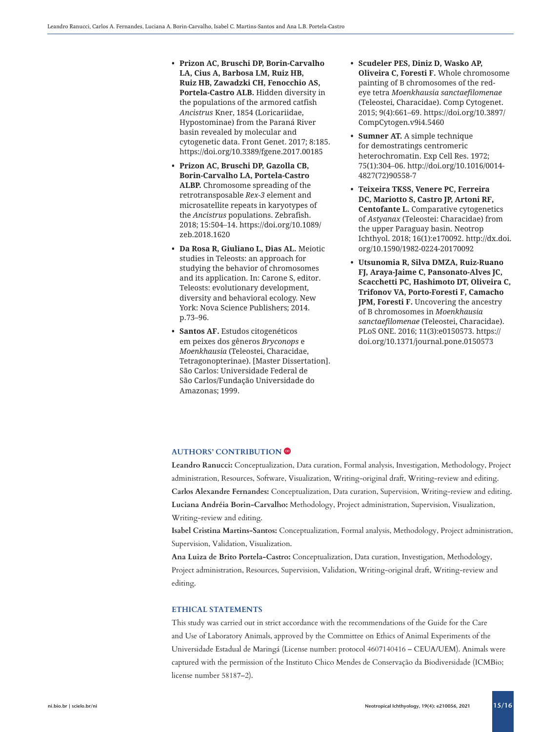- **• Prizon AC, Bruschi DP, Borin-Carvalho LA, Cius A, Barbosa LM, Ruiz HB, Ruiz HB, Zawadzki CH, Fenocchio AS, Portela-Castro ALB.** Hidden diversity in the populations of the armored catfish *Ancistrus* Kner, 1854 (Loricariidae, Hypostominae) from the Paraná River basin revealed by molecular and cytogenetic data. Front Genet. 2017; 8:185. <https://doi.org/10.3389/fgene.2017.00185>
- **• Prizon AC, Bruschi DP, Gazolla CB, Borin-Carvalho LA, Portela-Castro ALBP.** Chromosome spreading of the retrotransposable *Rex-3* element and microsatellite repeats in karyotypes of the *Ancistrus* populations. Zebrafish. 2018; 15:504–14. [https://doi.org/10.1089/](https://doi.org/10.1089/zeb.2018.1620) [zeb.2018.1620](https://doi.org/10.1089/zeb.2018.1620)
- **• Da Rosa R, Giuliano L, Dias AL.** Meiotic studies in Teleosts: an approach for studying the behavior of chromosomes and its application. In: Carone S, editor. Teleosts: evolutionary development, diversity and behavioral ecology. New York: Nova Science Publishers; 2014. p.73–96.
- **• Santos AF.** Estudos citogenéticos em peixes dos gêneros *Bryconops* e *Moenkhausia* (Teleostei, Characidae, Tetragonopterinae). [Master Dissertation]. São Carlos: Universidade Federal de São Carlos/Fundação Universidade do Amazonas; 1999.
- **• Scudeler PES, Diniz D, Wasko AP, Oliveira C, Foresti F.** Whole chromosome painting of B chromosomes of the redeye tetra *Moenkhausia sanctaefilomenae*  (Teleostei, Characidae). Comp Cytogenet. 2015; 9(4):661–69. [https://doi.org/10.3897/](https://doi.org/10.3897/CompCytogen.v9i4.5460) [CompCytogen.v9i4.5460](https://doi.org/10.3897/CompCytogen.v9i4.5460)
- **• Sumner AT.** A simple technique for demostratings centromeric heterochromatin. Exp Cell Res. 1972; 75(1):304–06. [http://doi.org/10.1016/0014-](http://doi.org/10.1016/0014-4827(72)90558-7) [4827\(72\)90558-7](http://doi.org/10.1016/0014-4827(72)90558-7)
- **• Teixeira TKSS, Venere PC, Ferreira DC, Mariotto S, Castro JP, Artoni RF, Centofante L.** Comparative cytogenetics of *Astyanax* (Teleostei: Characidae) from the upper Paraguay basin. Neotrop Ichthyol. 2018; 16(1):e170092. [http://dx.doi.](http://dx.doi.org/10.1590/1982-0224-20170092) [org/10.1590/1982-0224-20170092](http://dx.doi.org/10.1590/1982-0224-20170092)
- **• Utsunomia R, Silva DMZA, Ruiz-Ruano FJ, Araya-Jaime C, Pansonato-Alves JC, Scacchetti PC, Hashimoto DT, Oliveira C, Trifonov VA, Porto-Foresti F, Camacho JPM, Foresti F.** Uncovering the ancestry of B chromosomes in *Moenkhausia sanctaefilomenae* (Teleostei, Characidae). PLoS ONE. 2016; 11(3):e0150573. [https://](https://doi.org/10.1371/journal.pone.0150573) [doi.org/10.1371/journal.pone.0150573](https://doi.org/10.1371/journal.pone.0150573)

#### **AUTHORS' CONTRIBUTION**

**Leandro Ranucci:** Conceptualization, Data curation, Formal analysis, Investigation, Methodology, Project administration, Resources, Software, Visualization, Writing-original draft, Writing-review and editing. **Carlos Alexandre Fernandes:** Conceptualization, Data curation, Supervision, Writing-review and editing. **Luciana Andréia Borin-Carvalho:** Methodology, Project administration, Supervision, Visualization, Writing-review and editing.

**Isabel Cristina Martins-Santos:** Conceptualization, Formal analysis, Methodology, Project administration, Supervision, Validation, Visualization.

**Ana Luiza de Brito Portela-Castro:** Conceptualization, Data curation, Investigation, Methodology, Project administration, Resources, Supervision, Validation, Writing-original draft, Writing-review and editing.

#### **ETHICAL STATEMENTS**

This study was carried out in strict accordance with the recommendations of the Guide for the Care and Use of Laboratory Animals, approved by the Committee on Ethics of Animal Experiments of the Universidade Estadual de Maringá (License number: protocol 4607140416 – CEUA/UEM). Animals were captured with the permission of the Instituto Chico Mendes de Conservação da Biodiversidade (ICMBio; license number 58187–2).